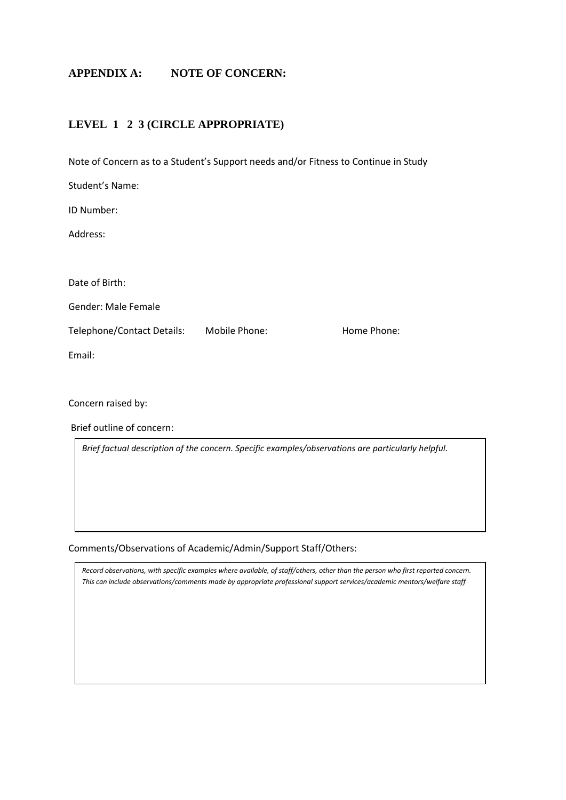# **APPENDIX A: NOTE OF CONCERN:**

### **LEVEL 1 2 3 (CIRCLE APPROPRIATE)**

Note of Concern as to a Student's Support needs and/or Fitness to Continue in Study

| Student's Name:            |               |             |
|----------------------------|---------------|-------------|
| ID Number:                 |               |             |
| Address:                   |               |             |
|                            |               |             |
| Date of Birth:             |               |             |
| <b>Gender: Male Female</b> |               |             |
| Telephone/Contact Details: | Mobile Phone: | Home Phone: |
| Email:                     |               |             |
|                            |               |             |
| Concern raised by:         |               |             |

Brief outline of concern:

*Brief factual description of the concern. Specific examples/observations are particularly helpful.*

Comments/Observations of Academic/Admin/Support Staff/Others:

*Record observations, with specific examples where available, of staff/others, other than the person who first reported concern. This can include observations/comments made by appropriate professional support services/academic mentors/welfare staff*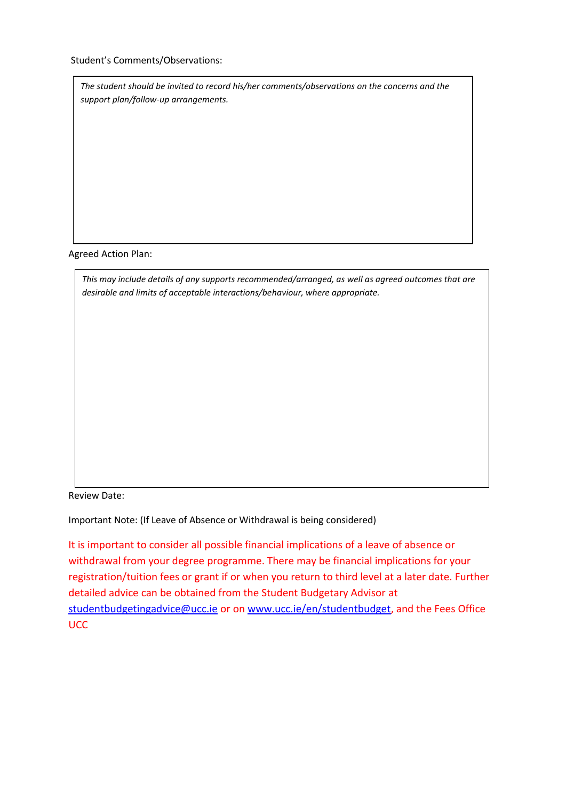Student's Comments/Observations:

*The student should be invited to record his/her comments/observations on the concerns and the support plan/follow-up arrangements.* 

Agreed Action Plan:

*This may include details of any supports recommended/arranged, as well as agreed outcomes that are desirable and limits of acceptable interactions/behaviour, where appropriate.*

Review Date:

Important Note: (If Leave of Absence or Withdrawal is being considered)

It is important to consider all possible financial implications of a leave of absence or withdrawal from your degree programme. There may be financial implications for your registration/tuition fees or grant if or when you return to third level at a later date. Further detailed advice can be obtained from the Student Budgetary Advisor at [studentbudgetingadvice@ucc.ie](mailto:studentbudgetingadvice@ucc.ie) or on [www.ucc.ie/en/studentbudget,](http://www.ucc.ie/en/studentbudget) and the Fees Office UCC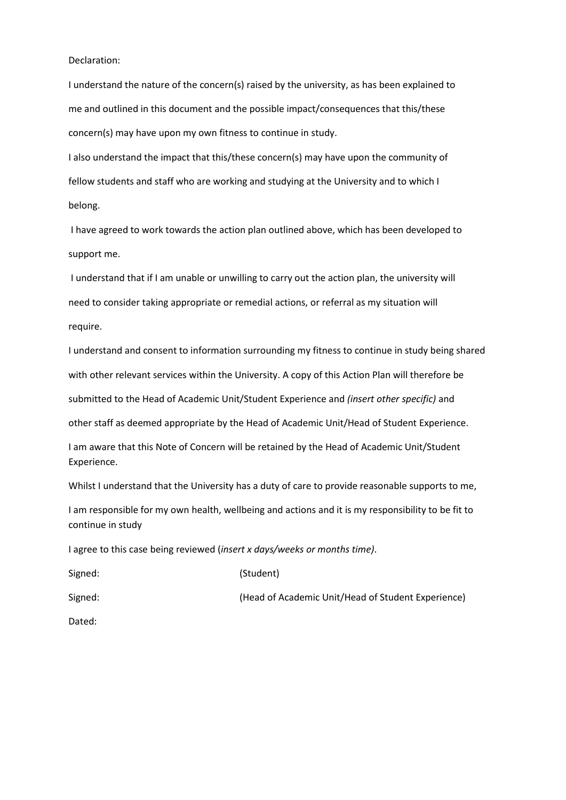#### Declaration:

I understand the nature of the concern(s) raised by the university, as has been explained to me and outlined in this document and the possible impact/consequences that this/these concern(s) may have upon my own fitness to continue in study.

I also understand the impact that this/these concern(s) may have upon the community of fellow students and staff who are working and studying at the University and to which I belong.

I have agreed to work towards the action plan outlined above, which has been developed to support me.

I understand that if I am unable or unwilling to carry out the action plan, the university will need to consider taking appropriate or remedial actions, or referral as my situation will require.

I understand and consent to information surrounding my fitness to continue in study being shared with other relevant services within the University. A copy of this Action Plan will therefore be submitted to the Head of Academic Unit/Student Experience and *(insert other specific)* and other staff as deemed appropriate by the Head of Academic Unit/Head of Student Experience.

I am aware that this Note of Concern will be retained by the Head of Academic Unit/Student Experience.

Whilst I understand that the University has a duty of care to provide reasonable supports to me,

I am responsible for my own health, wellbeing and actions and it is my responsibility to be fit to continue in study

I agree to this case being reviewed (*insert x days/weeks or months time)*.

| Signed: | (Student)                                          |
|---------|----------------------------------------------------|
| Signed: | (Head of Academic Unit/Head of Student Experience) |

Dated: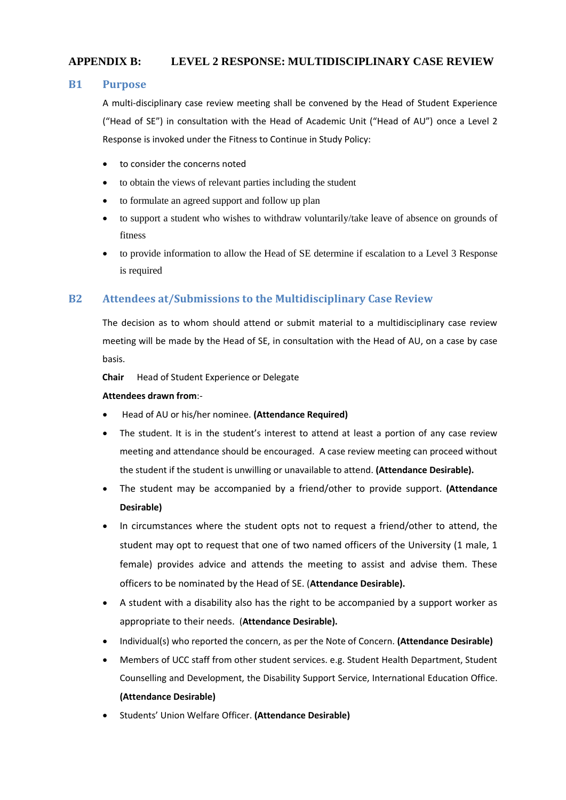## **APPENDIX B: LEVEL 2 RESPONSE: MULTIDISCIPLINARY CASE REVIEW**

#### **B1 Purpose**

A multi-disciplinary case review meeting shall be convened by the Head of Student Experience ("Head of SE") in consultation with the Head of Academic Unit ("Head of AU") once a Level 2 Response is invoked under the Fitness to Continue in Study Policy:

- to consider the concerns noted
- to obtain the views of relevant parties including the student
- to formulate an agreed support and follow up plan
- to support a student who wishes to withdraw voluntarily/take leave of absence on grounds of fitness
- to provide information to allow the Head of SE determine if escalation to a Level 3 Response is required

### **B2 Attendees at/Submissions to the Multidisciplinary Case Review**

The decision as to whom should attend or submit material to a multidisciplinary case review meeting will be made by the Head of SE, in consultation with the Head of AU, on a case by case basis.

**Chair** Head of Student Experience or Delegate

#### **Attendees drawn from**:-

- Head of AU or his/her nominee. **(Attendance Required)**
- The student. It is in the student's interest to attend at least a portion of any case review meeting and attendance should be encouraged. A case review meeting can proceed without the student if the student is unwilling or unavailable to attend. **(Attendance Desirable).**
- The student may be accompanied by a friend/other to provide support. **(Attendance Desirable)**
- In circumstances where the student opts not to request a friend/other to attend, the student may opt to request that one of two named officers of the University (1 male, 1 female) provides advice and attends the meeting to assist and advise them. These officers to be nominated by the Head of SE. (**Attendance Desirable).**
- A student with a disability also has the right to be accompanied by a support worker as appropriate to their needs. (**Attendance Desirable).**
- Individual(s) who reported the concern, as per the Note of Concern. **(Attendance Desirable)**
- Members of UCC staff from other student services. e.g. Student Health Department, Student Counselling and Development, the Disability Support Service, International Education Office. **(Attendance Desirable)**
- Students' Union Welfare Officer. **(Attendance Desirable)**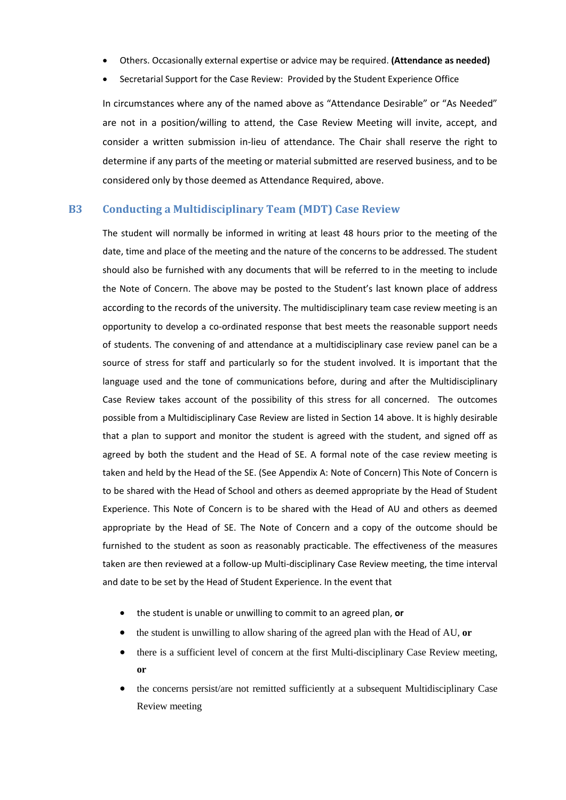- Others. Occasionally external expertise or advice may be required. **(Attendance as needed)**
- Secretarial Support for the Case Review: Provided by the Student Experience Office

In circumstances where any of the named above as "Attendance Desirable" or "As Needed" are not in a position/willing to attend, the Case Review Meeting will invite, accept, and consider a written submission in-lieu of attendance. The Chair shall reserve the right to determine if any parts of the meeting or material submitted are reserved business, and to be considered only by those deemed as Attendance Required, above.

#### **B3 Conducting a Multidisciplinary Team (MDT) Case Review**

The student will normally be informed in writing at least 48 hours prior to the meeting of the date, time and place of the meeting and the nature of the concerns to be addressed. The student should also be furnished with any documents that will be referred to in the meeting to include the Note of Concern. The above may be posted to the Student's last known place of address according to the records of the university. The multidisciplinary team case review meeting is an opportunity to develop a co-ordinated response that best meets the reasonable support needs of students. The convening of and attendance at a multidisciplinary case review panel can be a source of stress for staff and particularly so for the student involved. It is important that the language used and the tone of communications before, during and after the Multidisciplinary Case Review takes account of the possibility of this stress for all concerned. The outcomes possible from a Multidisciplinary Case Review are listed in Section 14 above. It is highly desirable that a plan to support and monitor the student is agreed with the student, and signed off as agreed by both the student and the Head of SE. A formal note of the case review meeting is taken and held by the Head of the SE. (See Appendix A: Note of Concern) This Note of Concern is to be shared with the Head of School and others as deemed appropriate by the Head of Student Experience. This Note of Concern is to be shared with the Head of AU and others as deemed appropriate by the Head of SE. The Note of Concern and a copy of the outcome should be furnished to the student as soon as reasonably practicable. The effectiveness of the measures taken are then reviewed at a follow-up Multi-disciplinary Case Review meeting, the time interval and date to be set by the Head of Student Experience. In the event that

- the student is unable or unwilling to commit to an agreed plan, **or**
- the student is unwilling to allow sharing of the agreed plan with the Head of AU, **or**
- there is a sufficient level of concern at the first Multi-disciplinary Case Review meeting, **or**
- the concerns persist/are not remitted sufficiently at a subsequent Multidisciplinary Case Review meeting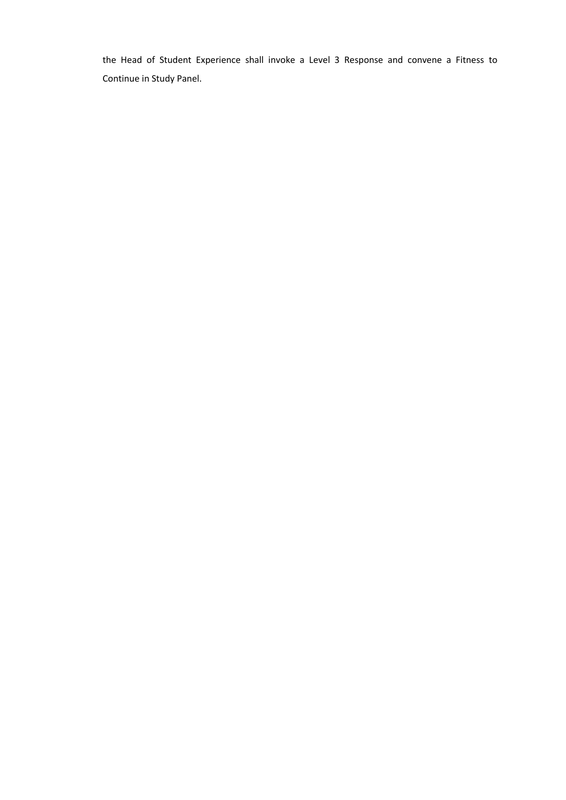the Head of Student Experience shall invoke a Level 3 Response and convene a Fitness to Continue in Study Panel.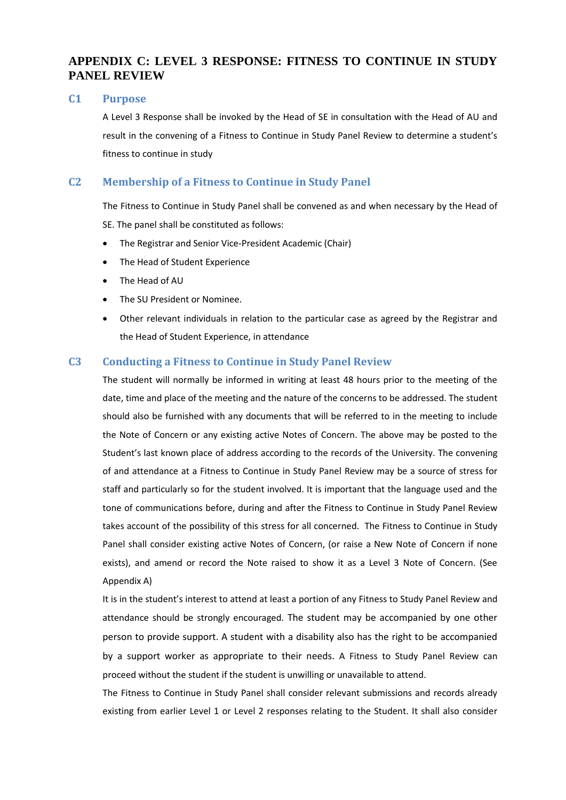# **APPENDIX C: LEVEL 3 RESPONSE: FITNESS TO CONTINUE IN STUDY PANEL REVIEW**

#### **C1 Purpose**

A Level 3 Response shall be invoked by the Head of SE in consultation with the Head of AU and result in the convening of a Fitness to Continue in Study Panel Review to determine a student's fitness to continue in study

### **C2 Membership of a Fitness to Continue in Study Panel**

The Fitness to Continue in Study Panel shall be convened as and when necessary by the Head of SE. The panel shall be constituted as follows:

- The Registrar and Senior Vice-President Academic (Chair)
- The Head of Student Experience
- The Head of AU
- The SU President or Nominee.
- Other relevant individuals in relation to the particular case as agreed by the Registrar and the Head of Student Experience, in attendance

#### **C3 Conducting a Fitness to Continue in Study Panel Review**

The student will normally be informed in writing at least 48 hours prior to the meeting of the date, time and place of the meeting and the nature of the concerns to be addressed. The student should also be furnished with any documents that will be referred to in the meeting to include the Note of Concern or any existing active Notes of Concern. The above may be posted to the Student's last known place of address according to the records of the University. The convening of and attendance at a Fitness to Continue in Study Panel Review may be a source of stress for staff and particularly so for the student involved. It is important that the language used and the tone of communications before, during and after the Fitness to Continue in Study Panel Review takes account of the possibility of this stress for all concerned. The Fitness to Continue in Study Panel shall consider existing active Notes of Concern, (or raise a New Note of Concern if none exists), and amend or record the Note raised to show it as a Level 3 Note of Concern. (See Appendix A)

It is in the student's interest to attend at least a portion of any Fitness to Study Panel Review and attendance should be strongly encouraged. The student may be accompanied by one other person to provide support. A student with a disability also has the right to be accompanied by a support worker as appropriate to their needs. A Fitness to Study Panel Review can proceed without the student if the student is unwilling or unavailable to attend.

The Fitness to Continue in Study Panel shall consider relevant submissions and records already existing from earlier Level 1 or Level 2 responses relating to the Student. It shall also consider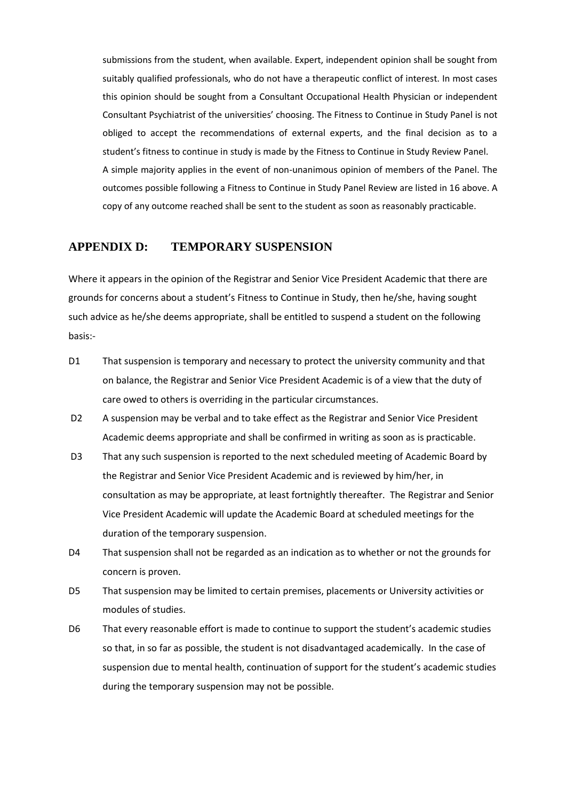submissions from the student, when available. Expert, independent opinion shall be sought from suitably qualified professionals, who do not have a therapeutic conflict of interest. In most cases this opinion should be sought from a Consultant Occupational Health Physician or independent Consultant Psychiatrist of the universities' choosing. The Fitness to Continue in Study Panel is not obliged to accept the recommendations of external experts, and the final decision as to a student's fitness to continue in study is made by the Fitness to Continue in Study Review Panel. A simple majority applies in the event of non-unanimous opinion of members of the Panel. The outcomes possible following a Fitness to Continue in Study Panel Review are listed in 16 above. A copy of any outcome reached shall be sent to the student as soon as reasonably practicable.

### **APPENDIX D: TEMPORARY SUSPENSION**

Where it appears in the opinion of the Registrar and Senior Vice President Academic that there are grounds for concerns about a student's Fitness to Continue in Study, then he/she, having sought such advice as he/she deems appropriate, shall be entitled to suspend a student on the following basis:-

- D1 That suspension is temporary and necessary to protect the university community and that on balance, the Registrar and Senior Vice President Academic is of a view that the duty of care owed to others is overriding in the particular circumstances.
- D2 A suspension may be verbal and to take effect as the Registrar and Senior Vice President Academic deems appropriate and shall be confirmed in writing as soon as is practicable.
- D3 That any such suspension is reported to the next scheduled meeting of Academic Board by the Registrar and Senior Vice President Academic and is reviewed by him/her, in consultation as may be appropriate, at least fortnightly thereafter. The Registrar and Senior Vice President Academic will update the Academic Board at scheduled meetings for the duration of the temporary suspension.
- D4 That suspension shall not be regarded as an indication as to whether or not the grounds for concern is proven.
- D5 That suspension may be limited to certain premises, placements or University activities or modules of studies.
- D6 That every reasonable effort is made to continue to support the student's academic studies so that, in so far as possible, the student is not disadvantaged academically. In the case of suspension due to mental health, continuation of support for the student's academic studies during the temporary suspension may not be possible.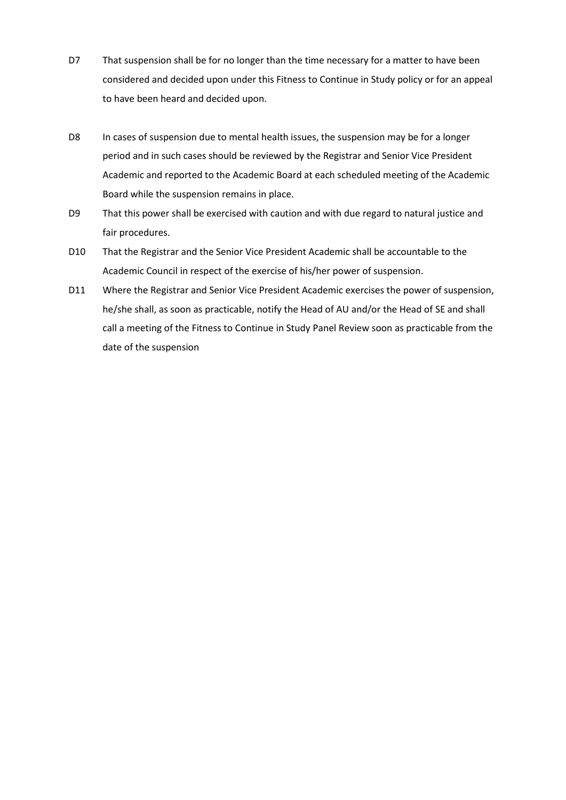- D7 That suspension shall be for no longer than the time necessary for a matter to have been considered and decided upon under this Fitness to Continue in Study policy or for an appeal to have been heard and decided upon.
- D8 In cases of suspension due to mental health issues, the suspension may be for a longer period and in such cases should be reviewed by the Registrar and Senior Vice President Academic and reported to the Academic Board at each scheduled meeting of the Academic Board while the suspension remains in place.
- D9 That this power shall be exercised with caution and with due regard to natural justice and fair procedures.
- D10 That the Registrar and the Senior Vice President Academic shall be accountable to the Academic Council in respect of the exercise of his/her power of suspension.
- D11 Where the Registrar and Senior Vice President Academic exercises the power of suspension, he/she shall, as soon as practicable, notify the Head of AU and/or the Head of SE and shall call a meeting of the Fitness to Continue in Study Panel Review soon as practicable from the date of the suspension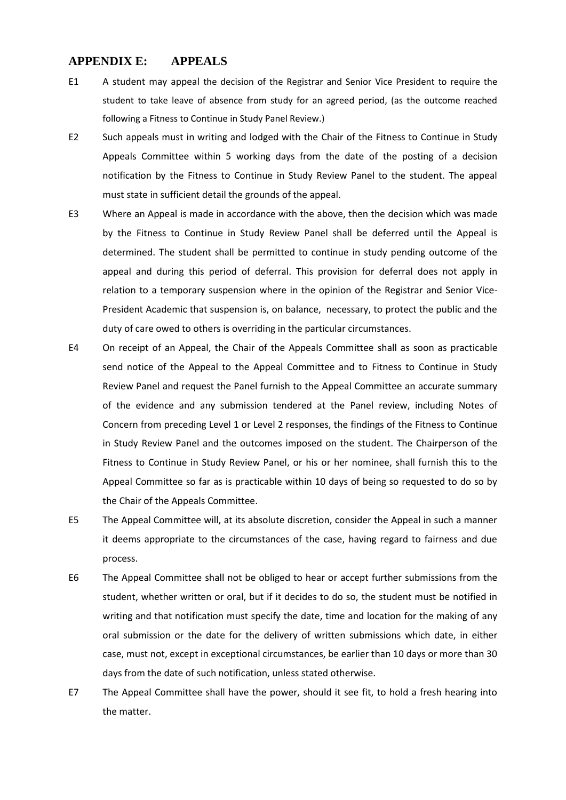### **APPENDIX E: APPEALS**

- E1A student may appeal the decision of the Registrar and Senior Vice President to require the student to take leave of absence from study for an agreed period, (as the outcome reached following a Fitness to Continue in Study Panel Review.)
- E2 Such appeals must in writing and lodged with the Chair of the Fitness to Continue in Study Appeals Committee within 5 working days from the date of the posting of a decision notification by the Fitness to Continue in Study Review Panel to the student. The appeal must state in sufficient detail the grounds of the appeal.
- E3 Where an Appeal is made in accordance with the above, then the decision which was made by the Fitness to Continue in Study Review Panel shall be deferred until the Appeal is determined. The student shall be permitted to continue in study pending outcome of the appeal and during this period of deferral. This provision for deferral does not apply in relation to a temporary suspension where in the opinion of the Registrar and Senior Vice-President Academic that suspension is, on balance, necessary, to protect the public and the duty of care owed to others is overriding in the particular circumstances.
- E4 On receipt of an Appeal, the Chair of the Appeals Committee shall as soon as practicable send notice of the Appeal to the Appeal Committee and to Fitness to Continue in Study Review Panel and request the Panel furnish to the Appeal Committee an accurate summary of the evidence and any submission tendered at the Panel review, including Notes of Concern from preceding Level 1 or Level 2 responses, the findings of the Fitness to Continue in Study Review Panel and the outcomes imposed on the student. The Chairperson of the Fitness to Continue in Study Review Panel, or his or her nominee, shall furnish this to the Appeal Committee so far as is practicable within 10 days of being so requested to do so by the Chair of the Appeals Committee.
- E5 The Appeal Committee will, at its absolute discretion, consider the Appeal in such a manner it deems appropriate to the circumstances of the case, having regard to fairness and due process.
- E6 The Appeal Committee shall not be obliged to hear or accept further submissions from the student, whether written or oral, but if it decides to do so, the student must be notified in writing and that notification must specify the date, time and location for the making of any oral submission or the date for the delivery of written submissions which date, in either case, must not, except in exceptional circumstances, be earlier than 10 days or more than 30 days from the date of such notification, unless stated otherwise.
- E7 The Appeal Committee shall have the power, should it see fit, to hold a fresh hearing into the matter.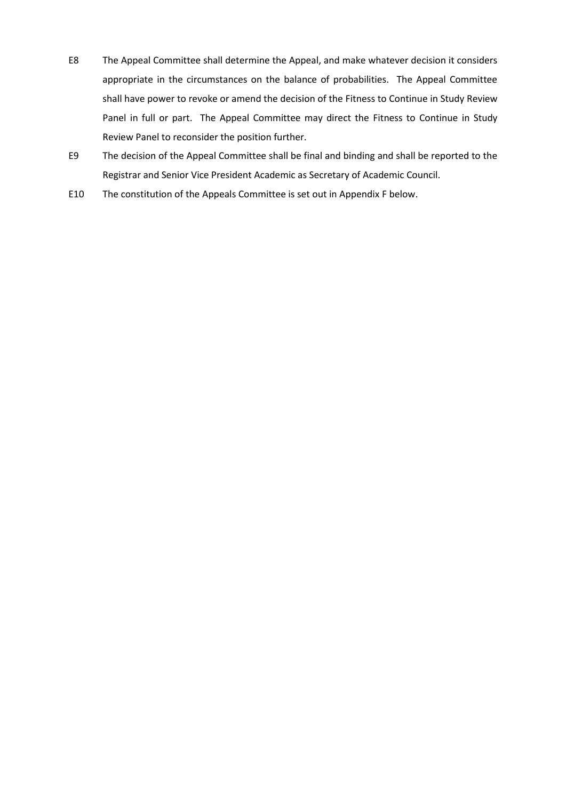- E8 The Appeal Committee shall determine the Appeal, and make whatever decision it considers appropriate in the circumstances on the balance of probabilities. The Appeal Committee shall have power to revoke or amend the decision of the Fitness to Continue in Study Review Panel in full or part. The Appeal Committee may direct the Fitness to Continue in Study Review Panel to reconsider the position further.
- E9 The decision of the Appeal Committee shall be final and binding and shall be reported to the Registrar and Senior Vice President Academic as Secretary of Academic Council.
- E10 The constitution of the Appeals Committee is set out in Appendix F below.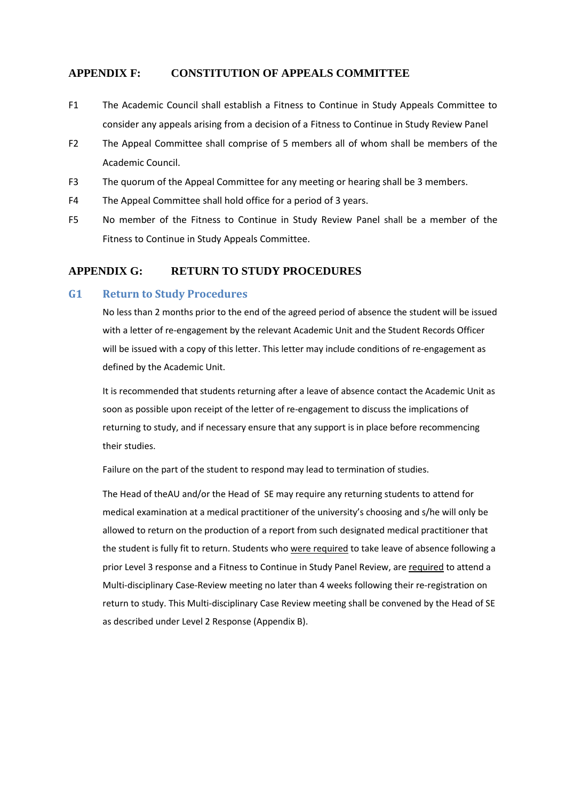### **APPENDIX F: CONSTITUTION OF APPEALS COMMITTEE**

- F1 The Academic Council shall establish a Fitness to Continue in Study Appeals Committee to consider any appeals arising from a decision of a Fitness to Continue in Study Review Panel
- F2 The Appeal Committee shall comprise of 5 members all of whom shall be members of the Academic Council.
- F3 The quorum of the Appeal Committee for any meeting or hearing shall be 3 members.
- F4 The Appeal Committee shall hold office for a period of 3 years.
- F5 No member of the Fitness to Continue in Study Review Panel shall be a member of the Fitness to Continue in Study Appeals Committee.

#### **APPENDIX G: RETURN TO STUDY PROCEDURES**

#### **G1 Return to Study Procedures**

No less than 2 months prior to the end of the agreed period of absence the student will be issued with a letter of re-engagement by the relevant Academic Unit and the Student Records Officer will be issued with a copy of this letter. This letter may include conditions of re-engagement as defined by the Academic Unit.

It is recommended that students returning after a leave of absence contact the Academic Unit as soon as possible upon receipt of the letter of re-engagement to discuss the implications of returning to study, and if necessary ensure that any support is in place before recommencing their studies.

Failure on the part of the student to respond may lead to termination of studies.

The Head of theAU and/or the Head of SE may require any returning students to attend for medical examination at a medical practitioner of the university's choosing and s/he will only be allowed to return on the production of a report from such designated medical practitioner that the student is fully fit to return. Students who were required to take leave of absence following a prior Level 3 response and a Fitness to Continue in Study Panel Review, are required to attend a Multi-disciplinary Case-Review meeting no later than 4 weeks following their re-registration on return to study. This Multi-disciplinary Case Review meeting shall be convened by the Head of SE as described under Level 2 Response (Appendix B).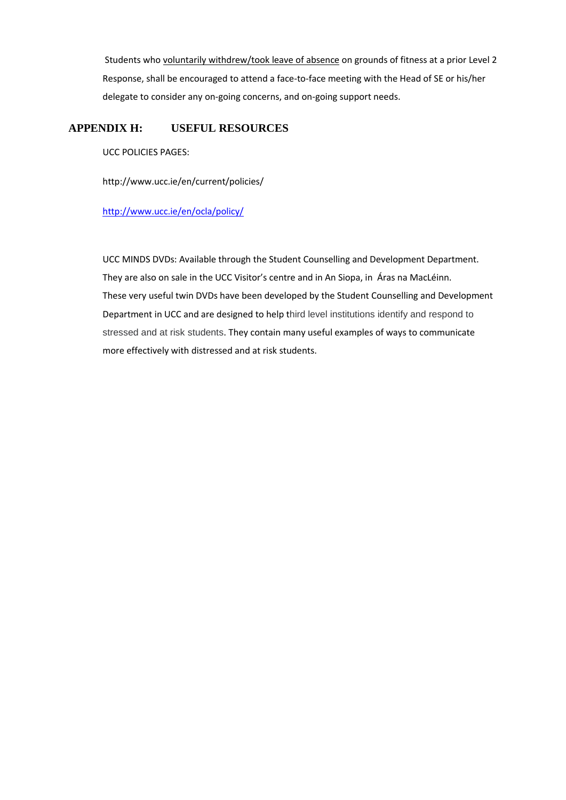Students who voluntarily withdrew/took leave of absence on grounds of fitness at a prior Level 2 Response, shall be encouraged to attend a face-to-face meeting with the Head of SE or his/her delegate to consider any on-going concerns, and on-going support needs.

#### **APPENDIX H: USEFUL RESOURCES**

UCC POLICIES PAGES:

http://www.ucc.ie/en/current/policies/

#### <http://www.ucc.ie/en/ocla/policy/>

UCC MINDS DVDs: Available through the Student Counselling and Development Department. They are also on sale in the UCC Visitor's centre and in An Siopa, in Áras na MacLéinn. These very useful twin DVDs have been developed by the Student Counselling and Development Department in UCC and are designed to help third level institutions identify and respond to stressed and at risk students. They contain many useful examples of ways to communicate more effectively with distressed and at risk students.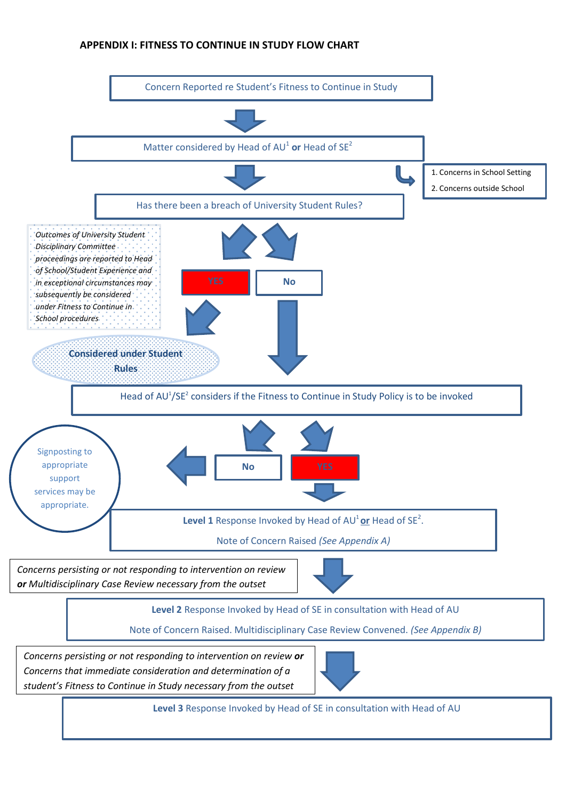# **APPENDIX I: FITNESS TO CONTINUE IN STUDY FLOW CHART**